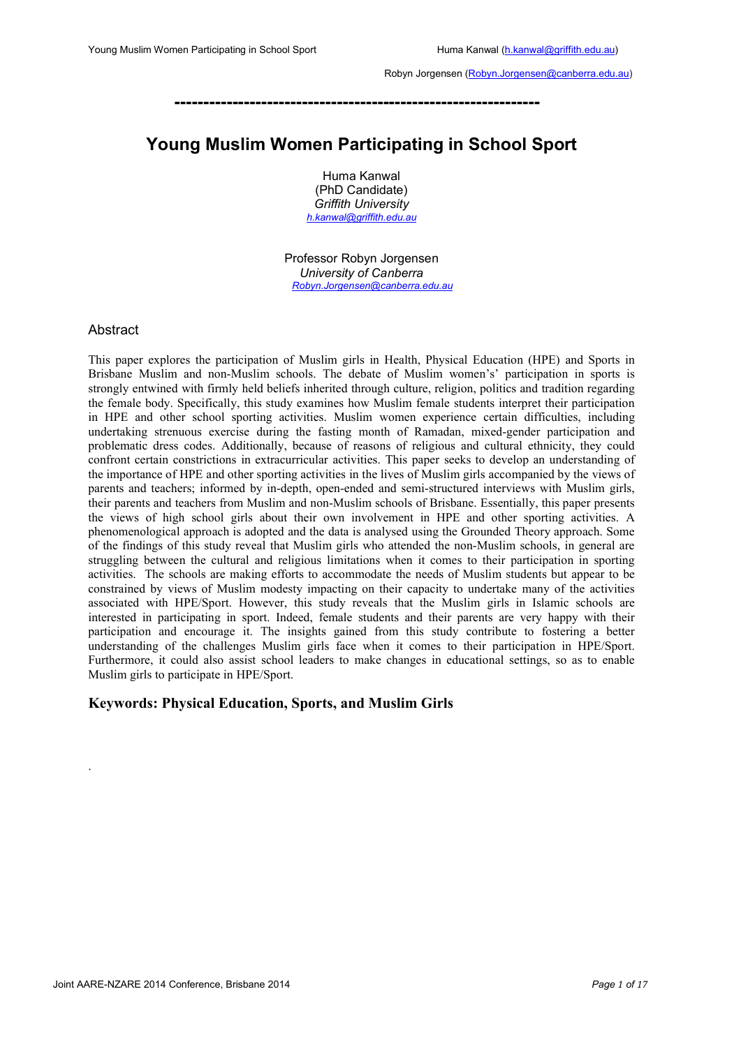**---------------------------------------------------------------**

# **Young Muslim Women Participating in School Sport**

Huma Kanwal (PhD Candidate) *Griffith University h.kanwal@griffith.edu.au*

Professor Robyn Jorgensen *University of Canberra Robyn.Jorgensen@canberra.edu.au*

# Abstract

.

This paper explores the participation of Muslim girls in Health, Physical Education (HPE) and Sports in Brisbane Muslim and non-Muslim schools. The debate of Muslim women's' participation in sports is strongly entwined with firmly held beliefs inherited through culture, religion, politics and tradition regarding the female body. Specifically, this study examines how Muslim female students interpret their participation in HPE and other school sporting activities. Muslim women experience certain difficulties, including undertaking strenuous exercise during the fasting month of Ramadan, mixed-gender participation and problematic dress codes. Additionally, because of reasons of religious and cultural ethnicity, they could confront certain constrictions in extracurricular activities. This paper seeks to develop an understanding of the importance of HPE and other sporting activities in the lives of Muslim girls accompanied by the views of parents and teachers; informed by in-depth, open-ended and semi-structured interviews with Muslim girls, their parents and teachers from Muslim and non-Muslim schools of Brisbane. Essentially, this paper presents the views of high school girls about their own involvement in HPE and other sporting activities. A phenomenological approach is adopted and the data is analysed using the Grounded Theory approach. Some of the findings of this study reveal that Muslim girls who attended the non-Muslim schools, in general are struggling between the cultural and religious limitations when it comes to their participation in sporting activities. The schools are making efforts to accommodate the needs of Muslim students but appear to be constrained by views of Muslim modesty impacting on their capacity to undertake many of the activities associated with HPE/Sport. However, this study reveals that the Muslim girls in Islamic schools are interested in participating in sport. Indeed, female students and their parents are very happy with their participation and encourage it. The insights gained from this study contribute to fostering a better understanding of the challenges Muslim girls face when it comes to their participation in HPE/Sport. Furthermore, it could also assist school leaders to make changes in educational settings, so as to enable Muslim girls to participate in HPE/Sport.

# **Keywords: Physical Education, Sports, and Muslim Girls**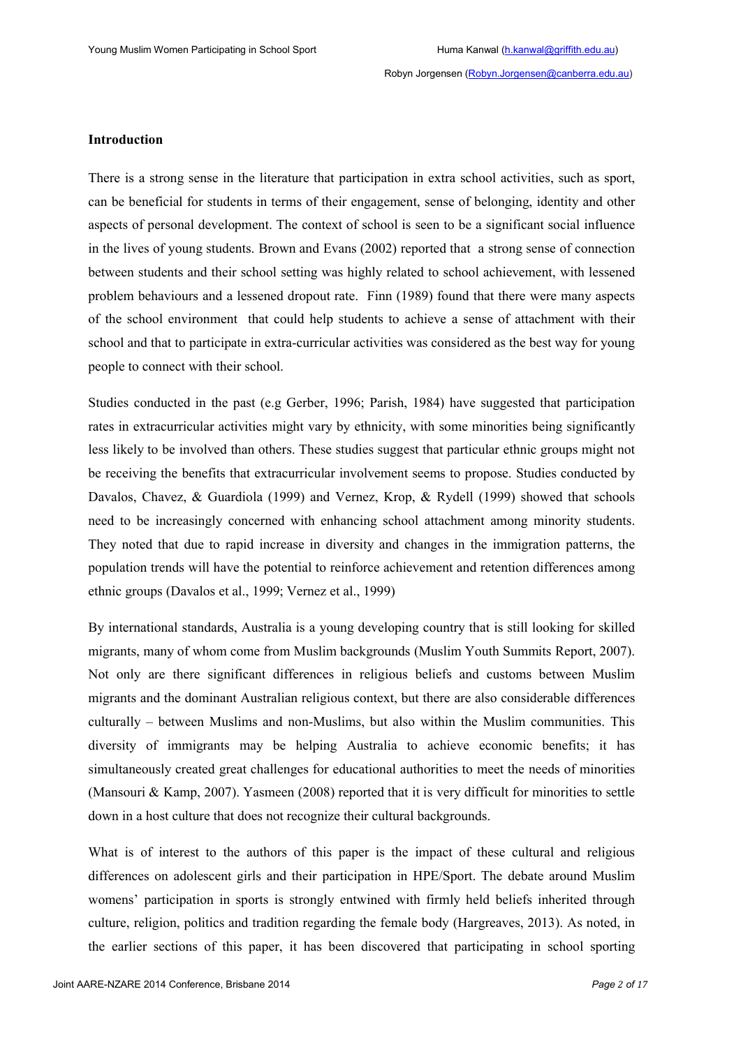#### **Introduction**

There is a strong sense in the literature that participation in extra school activities, such as sport, can be beneficial for students in terms of their engagement, sense of belonging, identity and other aspects of personal development. The context of school is seen to be a significant social influence in the lives of young students. Brown and Evans (2002) reported that a strong sense of connection between students and their school setting was highly related to school achievement, with lessened problem behaviours and a lessened dropout rate. Finn (1989) found that there were many aspects of the school environment that could help students to achieve a sense of attachment with their school and that to participate in extra-curricular activities was considered as the best way for young people to connect with their school.

Studies conducted in the past (e.g Gerber, 1996; Parish, 1984) have suggested that participation rates in extracurricular activities might vary by ethnicity, with some minorities being significantly less likely to be involved than others. These studies suggest that particular ethnic groups might not be receiving the benefits that extracurricular involvement seems to propose. Studies conducted by Davalos, Chavez, & Guardiola (1999) and Vernez, Krop, & Rydell (1999) showed that schools need to be increasingly concerned with enhancing school attachment among minority students. They noted that due to rapid increase in diversity and changes in the immigration patterns, the population trends will have the potential to reinforce achievement and retention differences among ethnic groups (Davalos et al., 1999; Vernez et al., 1999)

By international standards, Australia is a young developing country that is still looking for skilled migrants, many of whom come from Muslim backgrounds (Muslim Youth Summits Report, 2007). Not only are there significant differences in religious beliefs and customs between Muslim migrants and the dominant Australian religious context, but there are also considerable differences culturally – between Muslims and non-Muslims, but also within the Muslim communities. This diversity of immigrants may be helping Australia to achieve economic benefits; it has simultaneously created great challenges for educational authorities to meet the needs of minorities (Mansouri & Kamp, 2007). Yasmeen (2008) reported that it is very difficult for minorities to settle down in a host culture that does not recognize their cultural backgrounds.

What is of interest to the authors of this paper is the impact of these cultural and religious differences on adolescent girls and their participation in HPE/Sport. The debate around Muslim womens' participation in sports is strongly entwined with firmly held beliefs inherited through culture, religion, politics and tradition regarding the female body (Hargreaves, 2013). As noted, in the earlier sections of this paper, it has been discovered that participating in school sporting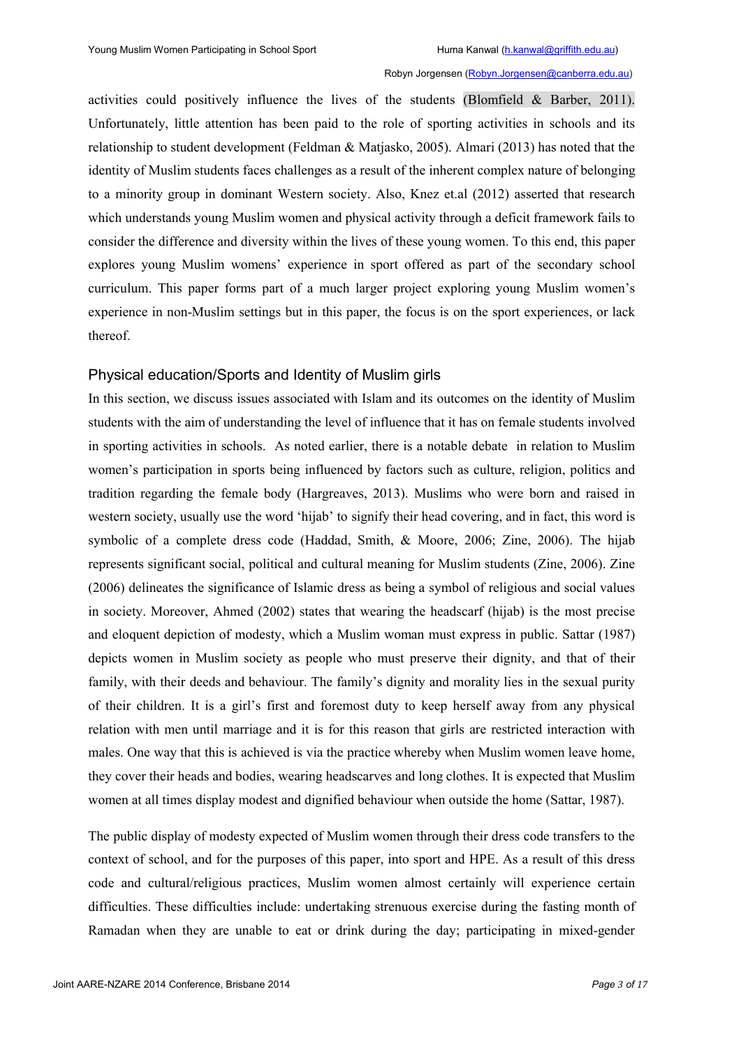activities could positively influence the lives of the students (Blomfield & Barber, 2011). Unfortunately, little attention has been paid to the role of sporting activities in schools and its relationship to student development (Feldman & Matjasko, 2005). Almari (2013) has noted that the identity of Muslim students faces challenges as a result of the inherent complex nature of belonging to a minority group in dominant Western society. Also, Knez et.al (2012) asserted that research which understands young Muslim women and physical activity through a deficit framework fails to consider the difference and diversity within the lives of these young women. To this end, this paper explores young Muslim womens' experience in sport offered as part of the secondary school curriculum. This paper forms part of a much larger project exploring young Muslim women's experience in non-Muslim settings but in this paper, the focus is on the sport experiences, or lack thereof.

# Physical education/Sports and Identity of Muslim girls

In this section, we discuss issues associated with Islam and its outcomes on the identity of Muslim students with the aim of understanding the level of influence that it has on female students involved in sporting activities in schools. As noted earlier, there is a notable debate in relation to Muslim women's participation in sports being influenced by factors such as culture, religion, politics and tradition regarding the female body (Hargreaves, 2013). Muslims who were born and raised in western society, usually use the word 'hijab' to signify their head covering, and in fact, this word is symbolic of a complete dress code (Haddad, Smith, & Moore, 2006; Zine, 2006). The hijab represents significant social, political and cultural meaning for Muslim students (Zine, 2006). Zine (2006) delineates the significance of Islamic dress as being a symbol of religious and social values in society. Moreover, Ahmed (2002) states that wearing the headscarf (hijab) is the most precise and eloquent depiction of modesty, which a Muslim woman must express in public. Sattar (1987) depicts women in Muslim society as people who must preserve their dignity, and that of their family, with their deeds and behaviour. The family's dignity and morality lies in the sexual purity of their children. It is a girl's first and foremost duty to keep herself away from any physical relation with men until marriage and it is for this reason that girls are restricted interaction with males. One way that this is achieved is via the practice whereby when Muslim women leave home, they cover their heads and bodies, wearing headscarves and long clothes. It is expected that Muslim women at all times display modest and dignified behaviour when outside the home (Sattar, 1987).

The public display of modesty expected of Muslim women through their dress code transfers to the context of school, and for the purposes of this paper, into sport and HPE. As a result of this dress code and cultural/religious practices, Muslim women almost certainly will experience certain difficulties. These difficulties include: undertaking strenuous exercise during the fasting month of Ramadan when they are unable to eat or drink during the day; participating in mixed-gender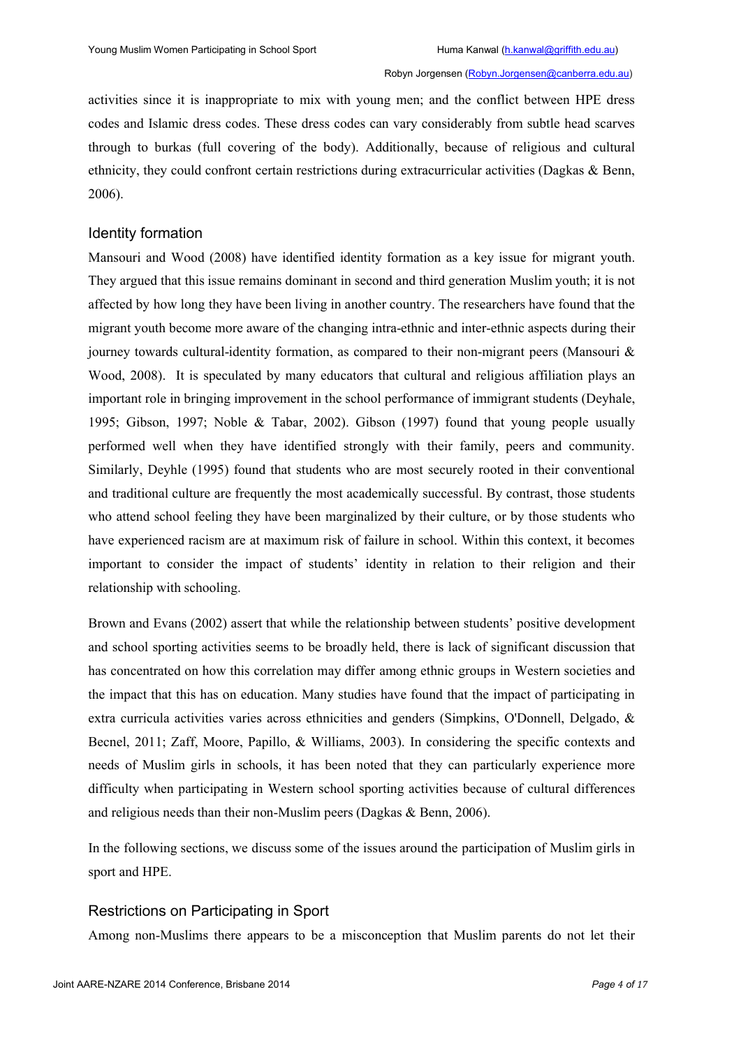activities since it is inappropriate to mix with young men; and the conflict between HPE dress codes and Islamic dress codes. These dress codes can vary considerably from subtle head scarves through to burkas (full covering of the body). Additionally, because of religious and cultural ethnicity, they could confront certain restrictions during extracurricular activities (Dagkas & Benn, 2006).

# Identity formation

Mansouri and Wood (2008) have identified identity formation as a key issue for migrant youth. They argued that this issue remains dominant in second and third generation Muslim youth; it is not affected by how long they have been living in another country. The researchers have found that the migrant youth become more aware of the changing intra-ethnic and inter-ethnic aspects during their journey towards cultural-identity formation, as compared to their non-migrant peers (Mansouri  $\&$ Wood, 2008). It is speculated by many educators that cultural and religious affiliation plays an important role in bringing improvement in the school performance of immigrant students (Deyhale, 1995; Gibson, 1997; Noble & Tabar, 2002). Gibson (1997) found that young people usually performed well when they have identified strongly with their family, peers and community. Similarly, Deyhle (1995) found that students who are most securely rooted in their conventional and traditional culture are frequently the most academically successful. By contrast, those students who attend school feeling they have been marginalized by their culture, or by those students who have experienced racism are at maximum risk of failure in school. Within this context, it becomes important to consider the impact of students' identity in relation to their religion and their relationship with schooling.

Brown and Evans (2002) assert that while the relationship between students' positive development and school sporting activities seems to be broadly held, there is lack of significant discussion that has concentrated on how this correlation may differ among ethnic groups in Western societies and the impact that this has on education. Many studies have found that the impact of participating in extra curricula activities varies across ethnicities and genders (Simpkins, O'Donnell, Delgado, & Becnel, 2011; Zaff, Moore, Papillo, & Williams, 2003). In considering the specific contexts and needs of Muslim girls in schools, it has been noted that they can particularly experience more difficulty when participating in Western school sporting activities because of cultural differences and religious needs than their non-Muslim peers (Dagkas & Benn, 2006).

In the following sections, we discuss some of the issues around the participation of Muslim girls in sport and HPE.

# Restrictions on Participating in Sport

Among non-Muslims there appears to be a misconception that Muslim parents do not let their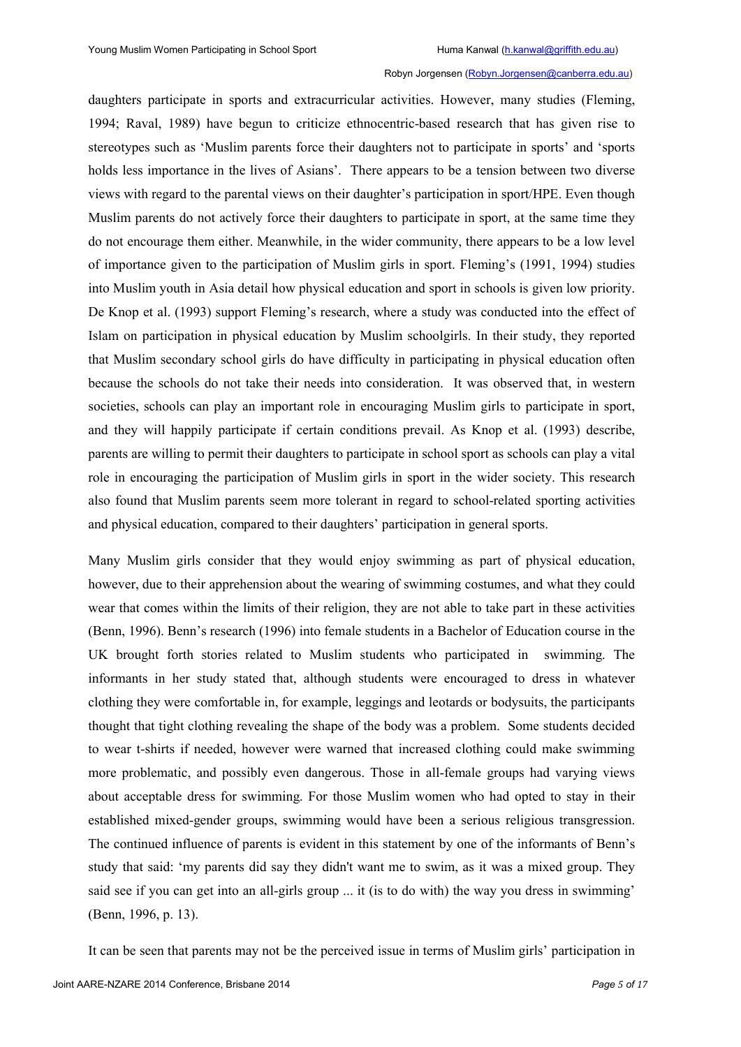daughters participate in sports and extracurricular activities. However, many studies (Fleming, 1994; Raval, 1989) have begun to criticize ethnocentric-based research that has given rise to stereotypes such as 'Muslim parents force their daughters not to participate in sports' and 'sports holds less importance in the lives of Asians'. There appears to be a tension between two diverse views with regard to the parental views on their daughter's participation in sport/HPE. Even though Muslim parents do not actively force their daughters to participate in sport, at the same time they do not encourage them either. Meanwhile, in the wider community, there appears to be a low level of importance given to the participation of Muslim girls in sport. Fleming's (1991, 1994) studies into Muslim youth in Asia detail how physical education and sport in schools is given low priority. De Knop et al. (1993) support Fleming's research, where a study was conducted into the effect of Islam on participation in physical education by Muslim schoolgirls. In their study, they reported that Muslim secondary school girls do have difficulty in participating in physical education often because the schools do not take their needs into consideration. It was observed that, in western societies, schools can play an important role in encouraging Muslim girls to participate in sport, and they will happily participate if certain conditions prevail. As Knop et al. (1993) describe, parents are willing to permit their daughters to participate in school sport as schools can play a vital role in encouraging the participation of Muslim girls in sport in the wider society. This research also found that Muslim parents seem more tolerant in regard to school-related sporting activities and physical education, compared to their daughters' participation in general sports.

Many Muslim girls consider that they would enjoy swimming as part of physical education, however, due to their apprehension about the wearing of swimming costumes, and what they could wear that comes within the limits of their religion, they are not able to take part in these activities (Benn, 1996). Benn's research (1996) into female students in a Bachelor of Education course in the UK brought forth stories related to Muslim students who participated in swimming. The informants in her study stated that, although students were encouraged to dress in whatever clothing they were comfortable in, for example, leggings and leotards or bodysuits, the participants thought that tight clothing revealing the shape of the body was a problem. Some students decided to wear t-shirts if needed, however were warned that increased clothing could make swimming more problematic, and possibly even dangerous. Those in all-female groups had varying views about acceptable dress for swimming. For those Muslim women who had opted to stay in their established mixed-gender groups, swimming would have been a serious religious transgression. The continued influence of parents is evident in this statement by one of the informants of Benn's study that said: 'my parents did say they didn't want me to swim, as it was a mixed group. They said see if you can get into an all-girls group ... it (is to do with) the way you dress in swimming' (Benn, 1996, p. 13).

It can be seen that parents may not be the perceived issue in terms of Muslim girls' participation in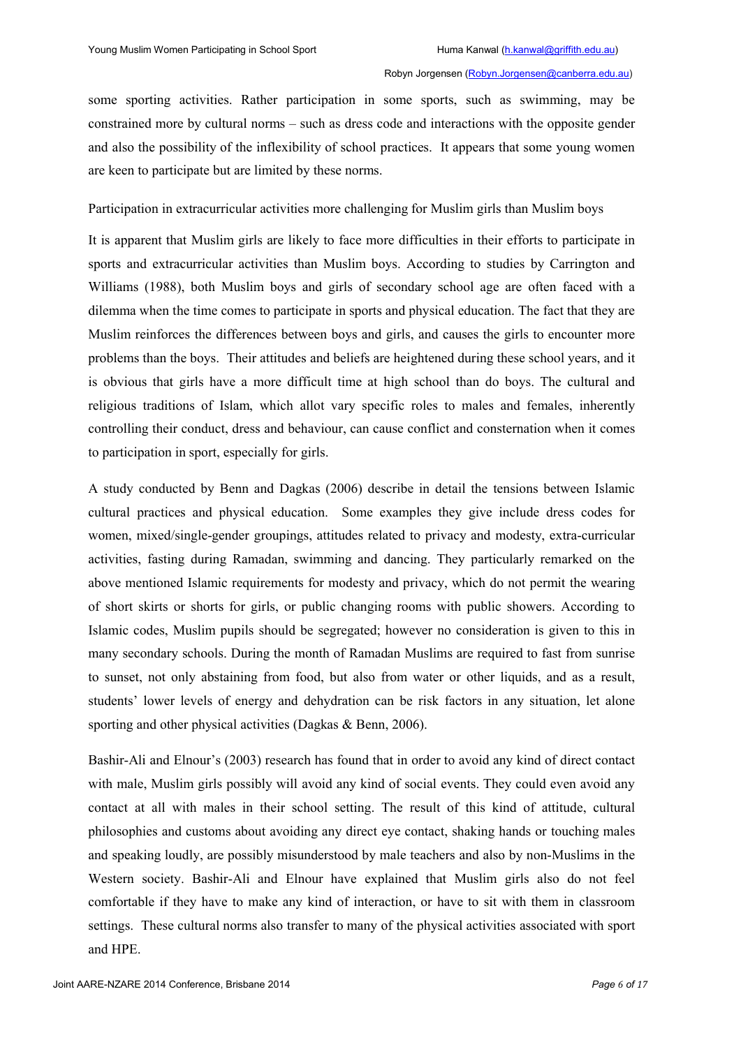some sporting activities. Rather participation in some sports, such as swimming, may be constrained more by cultural norms – such as dress code and interactions with the opposite gender and also the possibility of the inflexibility of school practices. It appears that some young women are keen to participate but are limited by these norms.

Participation in extracurricular activities more challenging for Muslim girls than Muslim boys

It is apparent that Muslim girls are likely to face more difficulties in their efforts to participate in sports and extracurricular activities than Muslim boys. According to studies by Carrington and Williams (1988), both Muslim boys and girls of secondary school age are often faced with a dilemma when the time comes to participate in sports and physical education. The fact that they are Muslim reinforces the differences between boys and girls, and causes the girls to encounter more problems than the boys. Their attitudes and beliefs are heightened during these school years, and it is obvious that girls have a more difficult time at high school than do boys. The cultural and religious traditions of Islam, which allot vary specific roles to males and females, inherently controlling their conduct, dress and behaviour, can cause conflict and consternation when it comes to participation in sport, especially for girls.

A study conducted by Benn and Dagkas (2006) describe in detail the tensions between Islamic cultural practices and physical education. Some examples they give include dress codes for women, mixed/single-gender groupings, attitudes related to privacy and modesty, extra-curricular activities, fasting during Ramadan, swimming and dancing. They particularly remarked on the above mentioned Islamic requirements for modesty and privacy, which do not permit the wearing of short skirts or shorts for girls, or public changing rooms with public showers. According to Islamic codes, Muslim pupils should be segregated; however no consideration is given to this in many secondary schools. During the month of Ramadan Muslims are required to fast from sunrise to sunset, not only abstaining from food, but also from water or other liquids, and as a result, students' lower levels of energy and dehydration can be risk factors in any situation, let alone sporting and other physical activities (Dagkas & Benn, 2006).

Bashir-Ali and Elnour's (2003) research has found that in order to avoid any kind of direct contact with male, Muslim girls possibly will avoid any kind of social events. They could even avoid any contact at all with males in their school setting. The result of this kind of attitude, cultural philosophies and customs about avoiding any direct eye contact, shaking hands or touching males and speaking loudly, are possibly misunderstood by male teachers and also by non-Muslims in the Western society. Bashir-Ali and Elnour have explained that Muslim girls also do not feel comfortable if they have to make any kind of interaction, or have to sit with them in classroom settings. These cultural norms also transfer to many of the physical activities associated with sport and HPE.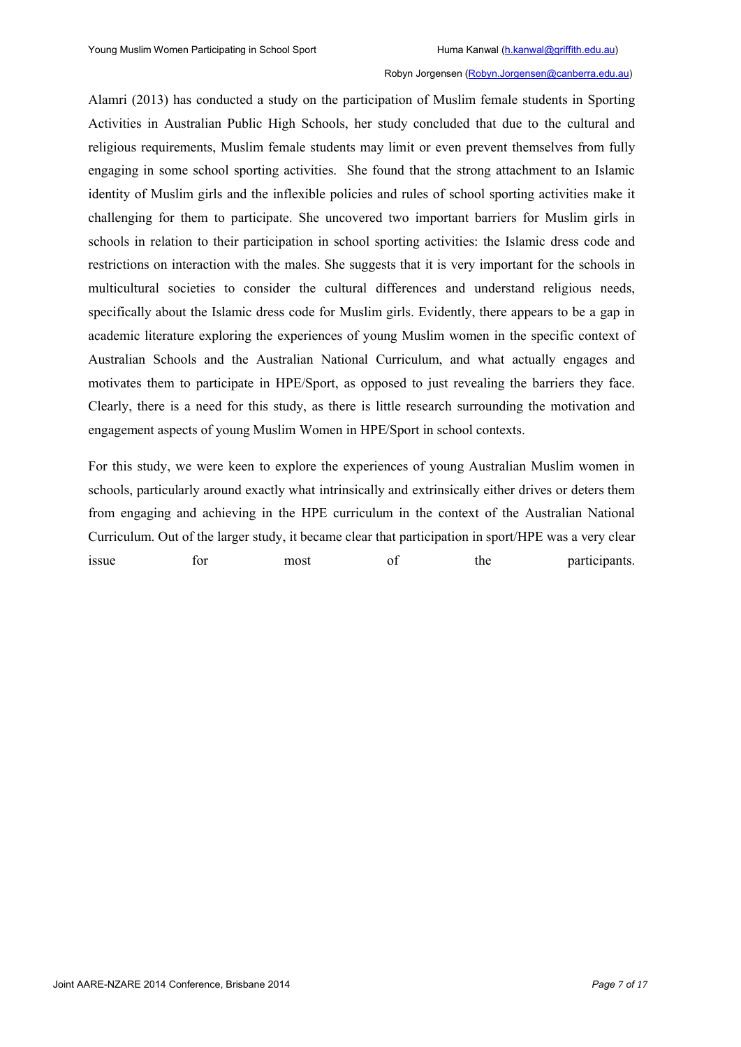Alamri (2013) has conducted a study on the participation of Muslim female students in Sporting Activities in Australian Public High Schools, her study concluded that due to the cultural and religious requirements, Muslim female students may limit or even prevent themselves from fully engaging in some school sporting activities. She found that the strong attachment to an Islamic identity of Muslim girls and the inflexible policies and rules of school sporting activities make it challenging for them to participate. She uncovered two important barriers for Muslim girls in schools in relation to their participation in school sporting activities: the Islamic dress code and restrictions on interaction with the males. She suggests that it is very important for the schools in multicultural societies to consider the cultural differences and understand religious needs, specifically about the Islamic dress code for Muslim girls. Evidently, there appears to be a gap in academic literature exploring the experiences of young Muslim women in the specific context of Australian Schools and the Australian National Curriculum, and what actually engages and motivates them to participate in HPE/Sport, as opposed to just revealing the barriers they face. Clearly, there is a need for this study, as there is little research surrounding the motivation and engagement aspects of young Muslim Women in HPE/Sport in school contexts.

For this study, we were keen to explore the experiences of young Australian Muslim women in schools, particularly around exactly what intrinsically and extrinsically either drives or deters them from engaging and achieving in the HPE curriculum in the context of the Australian National Curriculum. Out of the larger study, it became clear that participation in sport/HPE was a very clear issue for most of the participants.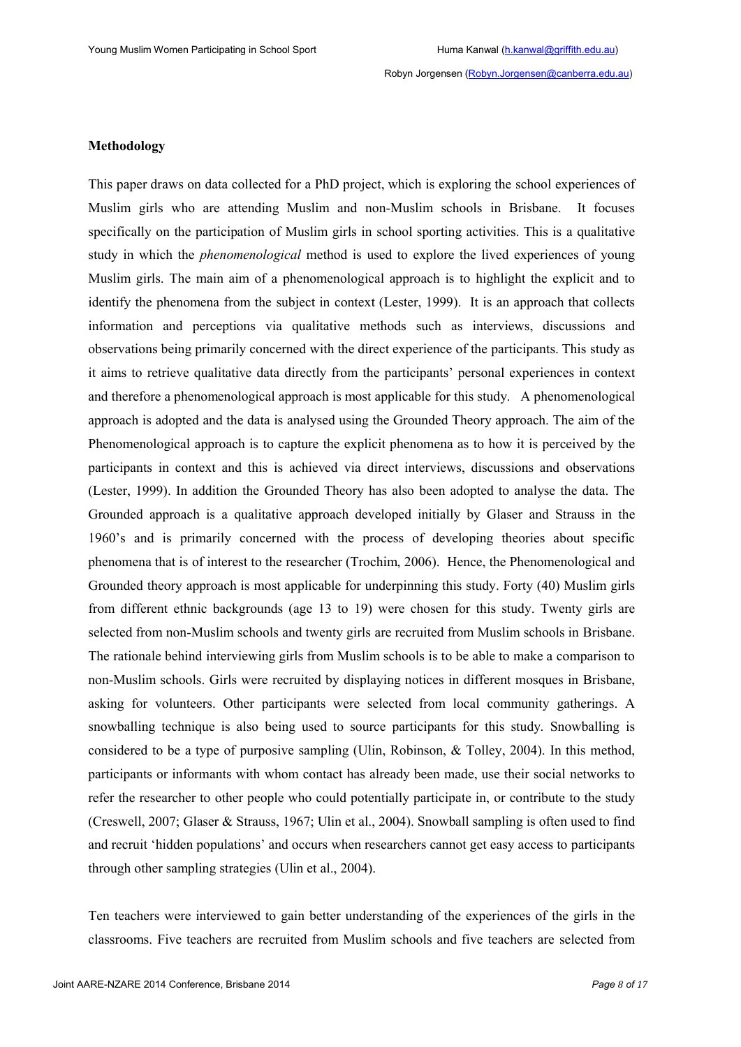#### **Methodology**

This paper draws on data collected for a PhD project, which is exploring the school experiences of Muslim girls who are attending Muslim and non-Muslim schools in Brisbane. It focuses specifically on the participation of Muslim girls in school sporting activities. This is a qualitative study in which the *phenomenological* method is used to explore the lived experiences of young Muslim girls. The main aim of a phenomenological approach is to highlight the explicit and to identify the phenomena from the subject in context (Lester, 1999). It is an approach that collects information and perceptions via qualitative methods such as interviews, discussions and observations being primarily concerned with the direct experience of the participants. This study as it aims to retrieve qualitative data directly from the participants' personal experiences in context and therefore a phenomenological approach is most applicable for this study. A phenomenological approach is adopted and the data is analysed using the Grounded Theory approach. The aim of the Phenomenological approach is to capture the explicit phenomena as to how it is perceived by the participants in context and this is achieved via direct interviews, discussions and observations (Lester, 1999). In addition the Grounded Theory has also been adopted to analyse the data. The Grounded approach is a qualitative approach developed initially by Glaser and Strauss in the 1960's and is primarily concerned with the process of developing theories about specific phenomena that is of interest to the researcher (Trochim, 2006). Hence, the Phenomenological and Grounded theory approach is most applicable for underpinning this study. Forty (40) Muslim girls from different ethnic backgrounds (age 13 to 19) were chosen for this study. Twenty girls are selected from non-Muslim schools and twenty girls are recruited from Muslim schools in Brisbane. The rationale behind interviewing girls from Muslim schools is to be able to make a comparison to non-Muslim schools. Girls were recruited by displaying notices in different mosques in Brisbane, asking for volunteers. Other participants were selected from local community gatherings. A snowballing technique is also being used to source participants for this study. Snowballing is considered to be a type of purposive sampling (Ulin, Robinson, & Tolley, 2004). In this method, participants or informants with whom contact has already been made, use their social networks to refer the researcher to other people who could potentially participate in, or contribute to the study (Creswell, 2007; Glaser & Strauss, 1967; Ulin et al., 2004). Snowball sampling is often used to find and recruit 'hidden populations' and occurs when researchers cannot get easy access to participants through other sampling strategies (Ulin et al., 2004).

Ten teachers were interviewed to gain better understanding of the experiences of the girls in the classrooms. Five teachers are recruited from Muslim schools and five teachers are selected from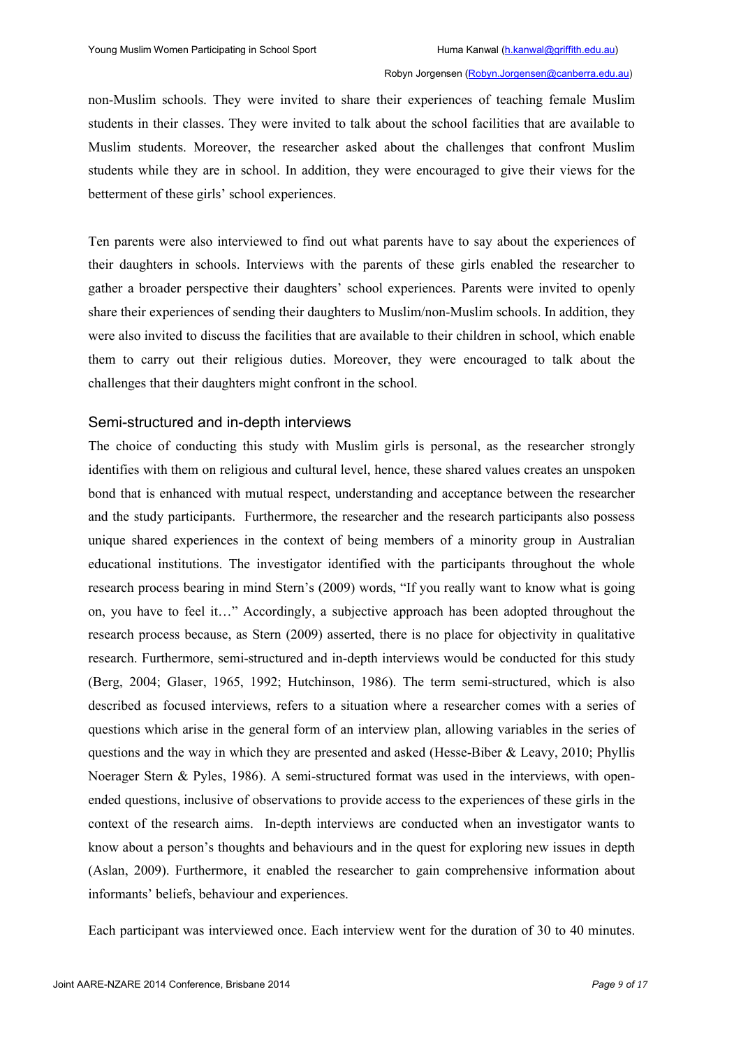non-Muslim schools. They were invited to share their experiences of teaching female Muslim students in their classes. They were invited to talk about the school facilities that are available to Muslim students. Moreover, the researcher asked about the challenges that confront Muslim students while they are in school. In addition, they were encouraged to give their views for the betterment of these girls' school experiences.

Ten parents were also interviewed to find out what parents have to say about the experiences of their daughters in schools. Interviews with the parents of these girls enabled the researcher to gather a broader perspective their daughters' school experiences. Parents were invited to openly share their experiences of sending their daughters to Muslim/non-Muslim schools. In addition, they were also invited to discuss the facilities that are available to their children in school, which enable them to carry out their religious duties. Moreover, they were encouraged to talk about the challenges that their daughters might confront in the school.

# Semi-structured and in-depth interviews

The choice of conducting this study with Muslim girls is personal, as the researcher strongly identifies with them on religious and cultural level, hence, these shared values creates an unspoken bond that is enhanced with mutual respect, understanding and acceptance between the researcher and the study participants. Furthermore, the researcher and the research participants also possess unique shared experiences in the context of being members of a minority group in Australian educational institutions. The investigator identified with the participants throughout the whole research process bearing in mind Stern's (2009) words, "If you really want to know what is going on, you have to feel it…" Accordingly, a subjective approach has been adopted throughout the research process because, as Stern (2009) asserted, there is no place for objectivity in qualitative research. Furthermore, semi-structured and in-depth interviews would be conducted for this study (Berg, 2004; Glaser, 1965, 1992; Hutchinson, 1986). The term semi-structured, which is also described as focused interviews, refers to a situation where a researcher comes with a series of questions which arise in the general form of an interview plan, allowing variables in the series of questions and the way in which they are presented and asked (Hesse-Biber & Leavy, 2010; Phyllis Noerager Stern & Pyles, 1986). A semi-structured format was used in the interviews, with openended questions, inclusive of observations to provide access to the experiences of these girls in the context of the research aims. In-depth interviews are conducted when an investigator wants to know about a person's thoughts and behaviours and in the quest for exploring new issues in depth (Aslan, 2009). Furthermore, it enabled the researcher to gain comprehensive information about informants' beliefs, behaviour and experiences.

Each participant was interviewed once. Each interview went for the duration of 30 to 40 minutes.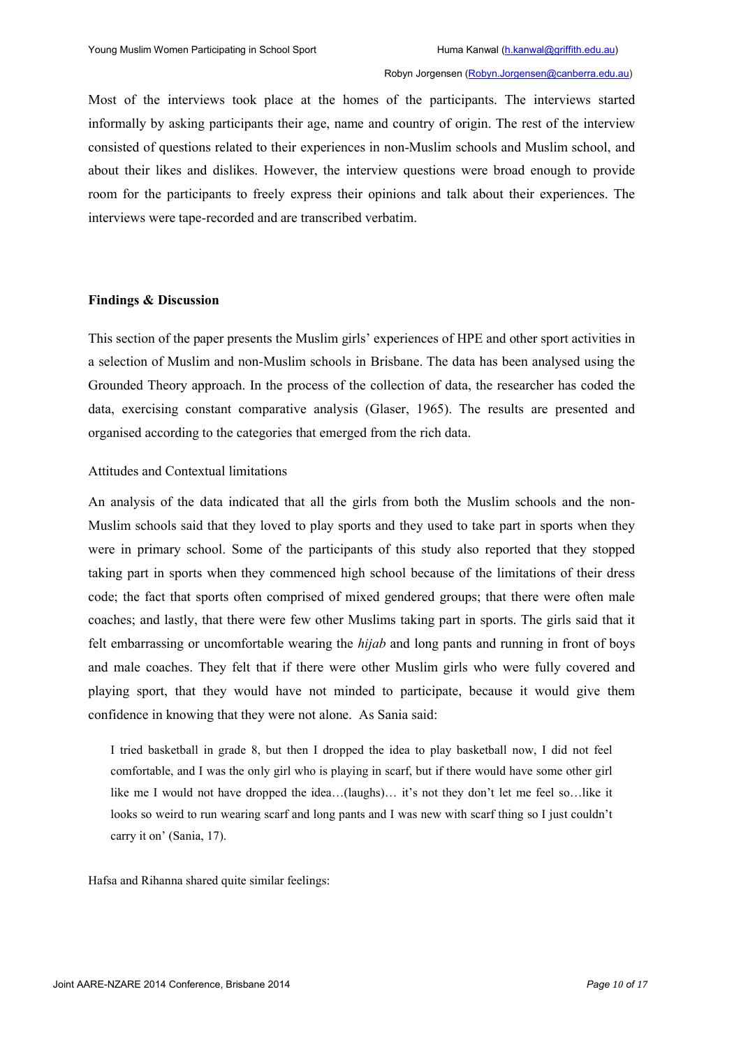Most of the interviews took place at the homes of the participants. The interviews started informally by asking participants their age, name and country of origin. The rest of the interview consisted of questions related to their experiences in non-Muslim schools and Muslim school, and about their likes and dislikes. However, the interview questions were broad enough to provide room for the participants to freely express their opinions and talk about their experiences. The interviews were tape-recorded and are transcribed verbatim.

#### **Findings & Discussion**

This section of the paper presents the Muslim girls' experiences of HPE and other sport activities in a selection of Muslim and non-Muslim schools in Brisbane. The data has been analysed using the Grounded Theory approach. In the process of the collection of data, the researcher has coded the data, exercising constant comparative analysis (Glaser, 1965). The results are presented and organised according to the categories that emerged from the rich data.

## Attitudes and Contextual limitations

An analysis of the data indicated that all the girls from both the Muslim schools and the non-Muslim schools said that they loved to play sports and they used to take part in sports when they were in primary school. Some of the participants of this study also reported that they stopped taking part in sports when they commenced high school because of the limitations of their dress code; the fact that sports often comprised of mixed gendered groups; that there were often male coaches; and lastly, that there were few other Muslims taking part in sports. The girls said that it felt embarrassing or uncomfortable wearing the *hijab* and long pants and running in front of boys and male coaches. They felt that if there were other Muslim girls who were fully covered and playing sport, that they would have not minded to participate, because it would give them confidence in knowing that they were not alone. As Sania said:

I tried basketball in grade 8, but then I dropped the idea to play basketball now, I did not feel comfortable, and I was the only girl who is playing in scarf, but if there would have some other girl like me I would not have dropped the idea…(laughs)… it's not they don't let me feel so…like it looks so weird to run wearing scarf and long pants and I was new with scarf thing so I just couldn't carry it on' (Sania, 17).

Hafsa and Rihanna shared quite similar feelings: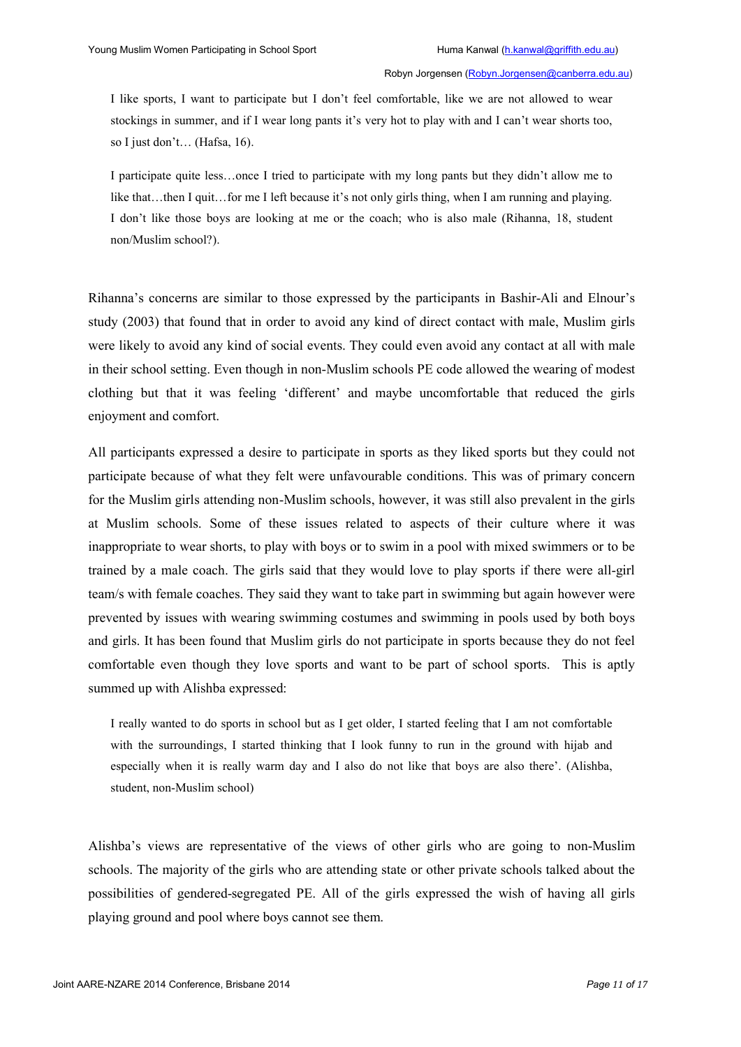I like sports, I want to participate but I don't feel comfortable, like we are not allowed to wear stockings in summer, and if I wear long pants it's very hot to play with and I can't wear shorts too, so I just don't… (Hafsa, 16).

I participate quite less…once I tried to participate with my long pants but they didn't allow me to like that…then I quit…for me I left because it's not only girls thing, when I am running and playing. I don't like those boys are looking at me or the coach; who is also male (Rihanna, 18, student non/Muslim school?).

Rihanna's concerns are similar to those expressed by the participants in Bashir-Ali and Elnour's study (2003) that found that in order to avoid any kind of direct contact with male, Muslim girls were likely to avoid any kind of social events. They could even avoid any contact at all with male in their school setting. Even though in non-Muslim schools PE code allowed the wearing of modest clothing but that it was feeling 'different' and maybe uncomfortable that reduced the girls enjoyment and comfort.

All participants expressed a desire to participate in sports as they liked sports but they could not participate because of what they felt were unfavourable conditions. This was of primary concern for the Muslim girls attending non-Muslim schools, however, it was still also prevalent in the girls at Muslim schools. Some of these issues related to aspects of their culture where it was inappropriate to wear shorts, to play with boys or to swim in a pool with mixed swimmers or to be trained by a male coach. The girls said that they would love to play sports if there were all-girl team/s with female coaches. They said they want to take part in swimming but again however were prevented by issues with wearing swimming costumes and swimming in pools used by both boys and girls. It has been found that Muslim girls do not participate in sports because they do not feel comfortable even though they love sports and want to be part of school sports. This is aptly summed up with Alishba expressed:

I really wanted to do sports in school but as I get older, I started feeling that I am not comfortable with the surroundings, I started thinking that I look funny to run in the ground with hijab and especially when it is really warm day and I also do not like that boys are also there'. (Alishba, student, non-Muslim school)

Alishba's views are representative of the views of other girls who are going to non-Muslim schools. The majority of the girls who are attending state or other private schools talked about the possibilities of gendered-segregated PE. All of the girls expressed the wish of having all girls playing ground and pool where boys cannot see them.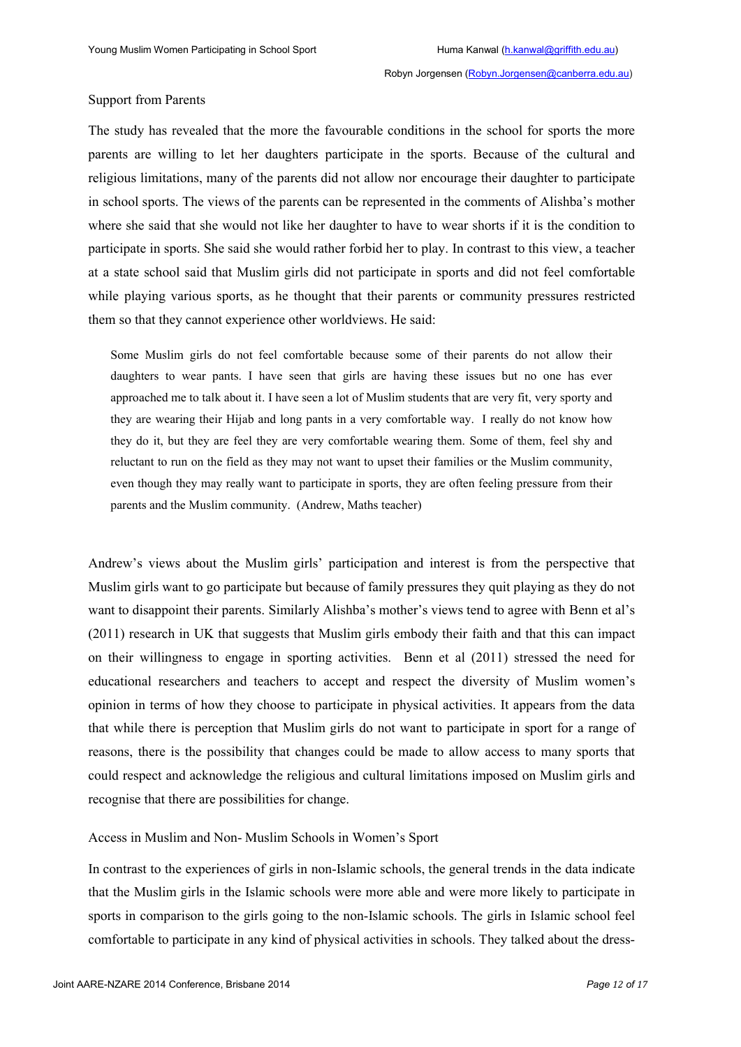#### Support from Parents

The study has revealed that the more the favourable conditions in the school for sports the more parents are willing to let her daughters participate in the sports. Because of the cultural and religious limitations, many of the parents did not allow nor encourage their daughter to participate in school sports. The views of the parents can be represented in the comments of Alishba's mother where she said that she would not like her daughter to have to wear shorts if it is the condition to participate in sports. She said she would rather forbid her to play. In contrast to this view, a teacher at a state school said that Muslim girls did not participate in sports and did not feel comfortable while playing various sports, as he thought that their parents or community pressures restricted them so that they cannot experience other worldviews. He said:

Some Muslim girls do not feel comfortable because some of their parents do not allow their daughters to wear pants. I have seen that girls are having these issues but no one has ever approached me to talk about it. I have seen a lot of Muslim students that are very fit, very sporty and they are wearing their Hijab and long pants in a very comfortable way. I really do not know how they do it, but they are feel they are very comfortable wearing them. Some of them, feel shy and reluctant to run on the field as they may not want to upset their families or the Muslim community, even though they may really want to participate in sports, they are often feeling pressure from their parents and the Muslim community. (Andrew, Maths teacher)

Andrew's views about the Muslim girls' participation and interest is from the perspective that Muslim girls want to go participate but because of family pressures they quit playing as they do not want to disappoint their parents. Similarly Alishba's mother's views tend to agree with Benn et al's (2011) research in UK that suggests that Muslim girls embody their faith and that this can impact on their willingness to engage in sporting activities. Benn et al (2011) stressed the need for educational researchers and teachers to accept and respect the diversity of Muslim women's opinion in terms of how they choose to participate in physical activities. It appears from the data that while there is perception that Muslim girls do not want to participate in sport for a range of reasons, there is the possibility that changes could be made to allow access to many sports that could respect and acknowledge the religious and cultural limitations imposed on Muslim girls and recognise that there are possibilities for change.

#### Access in Muslim and Non- Muslim Schools in Women's Sport

In contrast to the experiences of girls in non-Islamic schools, the general trends in the data indicate that the Muslim girls in the Islamic schools were more able and were more likely to participate in sports in comparison to the girls going to the non-Islamic schools. The girls in Islamic school feel comfortable to participate in any kind of physical activities in schools. They talked about the dress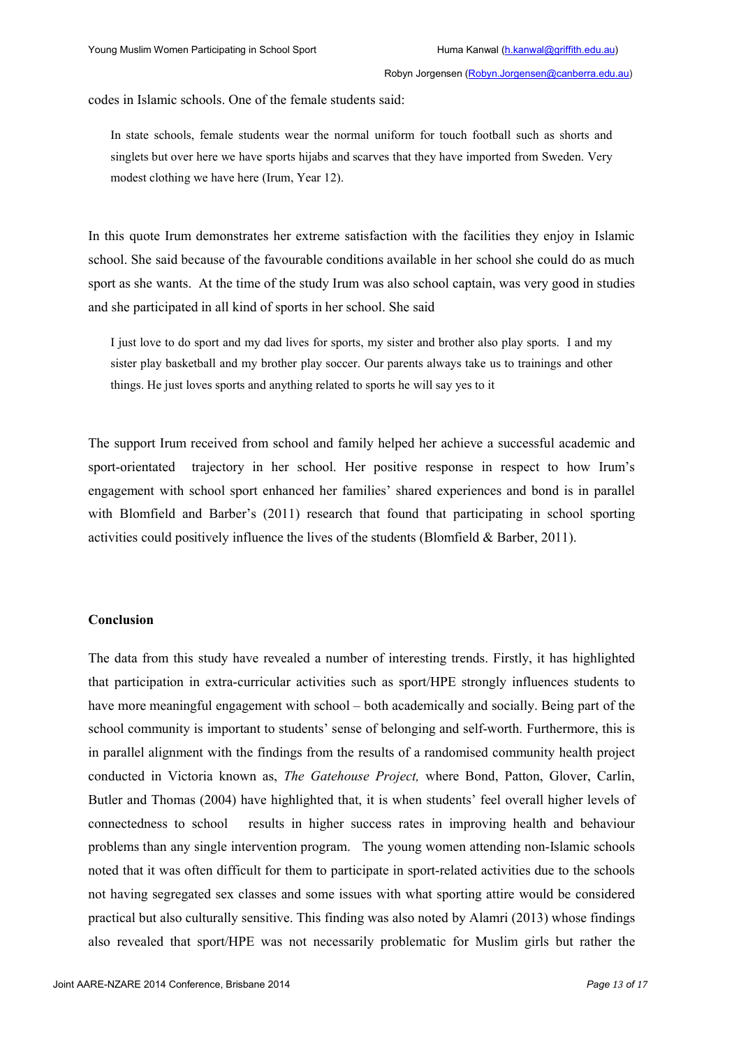codes in Islamic schools. One of the female students said:

In state schools, female students wear the normal uniform for touch football such as shorts and singlets but over here we have sports hijabs and scarves that they have imported from Sweden. Very modest clothing we have here (Irum, Year 12).

In this quote Irum demonstrates her extreme satisfaction with the facilities they enjoy in Islamic school. She said because of the favourable conditions available in her school she could do as much sport as she wants. At the time of the study Irum was also school captain, was very good in studies and she participated in all kind of sports in her school. She said

I just love to do sport and my dad lives for sports, my sister and brother also play sports. I and my sister play basketball and my brother play soccer. Our parents always take us to trainings and other things. He just loves sports and anything related to sports he will say yes to it

The support Irum received from school and family helped her achieve a successful academic and sport-orientated trajectory in her school. Her positive response in respect to how Irum's engagement with school sport enhanced her families' shared experiences and bond is in parallel with Blomfield and Barber's (2011) research that found that participating in school sporting activities could positively influence the lives of the students (Blomfield & Barber, 2011).

## **Conclusion**

The data from this study have revealed a number of interesting trends. Firstly, it has highlighted that participation in extra-curricular activities such as sport/HPE strongly influences students to have more meaningful engagement with school – both academically and socially. Being part of the school community is important to students' sense of belonging and self-worth. Furthermore, this is in parallel alignment with the findings from the results of a randomised community health project conducted in Victoria known as, *The Gatehouse Project,* where Bond, Patton, Glover, Carlin, Butler and Thomas (2004) have highlighted that, it is when students' feel overall higher levels of connectedness to school results in higher success rates in improving health and behaviour problems than any single intervention program. The young women attending non-Islamic schools noted that it was often difficult for them to participate in sport-related activities due to the schools not having segregated sex classes and some issues with what sporting attire would be considered practical but also culturally sensitive. This finding was also noted by Alamri (2013) whose findings also revealed that sport/HPE was not necessarily problematic for Muslim girls but rather the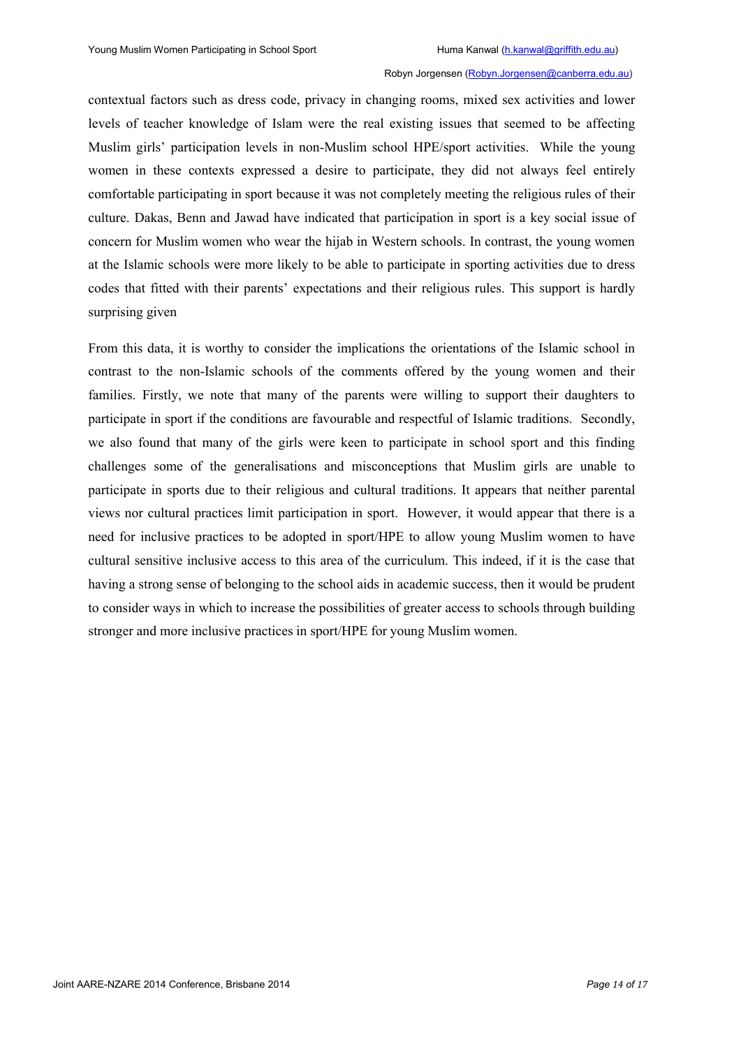contextual factors such as dress code, privacy in changing rooms, mixed sex activities and lower levels of teacher knowledge of Islam were the real existing issues that seemed to be affecting Muslim girls' participation levels in non-Muslim school HPE/sport activities. While the young women in these contexts expressed a desire to participate, they did not always feel entirely comfortable participating in sport because it was not completely meeting the religious rules of their culture. Dakas, Benn and Jawad have indicated that participation in sport is a key social issue of concern for Muslim women who wear the hijab in Western schools. In contrast, the young women at the Islamic schools were more likely to be able to participate in sporting activities due to dress codes that fitted with their parents' expectations and their religious rules. This support is hardly surprising given

From this data, it is worthy to consider the implications the orientations of the Islamic school in contrast to the non-Islamic schools of the comments offered by the young women and their families. Firstly, we note that many of the parents were willing to support their daughters to participate in sport if the conditions are favourable and respectful of Islamic traditions. Secondly, we also found that many of the girls were keen to participate in school sport and this finding challenges some of the generalisations and misconceptions that Muslim girls are unable to participate in sports due to their religious and cultural traditions. It appears that neither parental views nor cultural practices limit participation in sport. However, it would appear that there is a need for inclusive practices to be adopted in sport/HPE to allow young Muslim women to have cultural sensitive inclusive access to this area of the curriculum. This indeed, if it is the case that having a strong sense of belonging to the school aids in academic success, then it would be prudent to consider ways in which to increase the possibilities of greater access to schools through building stronger and more inclusive practices in sport/HPE for young Muslim women.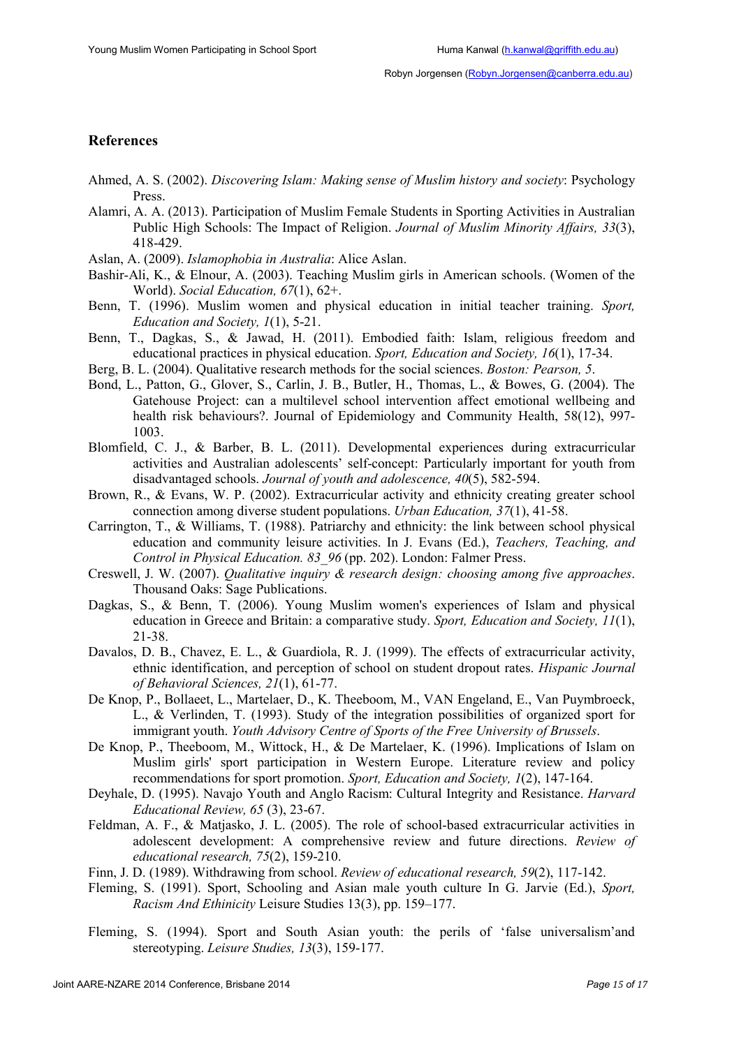# **References**

- Ahmed, A. S. (2002). *Discovering Islam: Making sense of Muslim history and society*: Psychology Press.
- Alamri, A. A. (2013). Participation of Muslim Female Students in Sporting Activities in Australian Public High Schools: The Impact of Religion. *Journal of Muslim Minority Affairs, 33*(3), 418-429.
- Aslan, A. (2009). *Islamophobia in Australia*: Alice Aslan.
- Bashir-Ali, K., & Elnour, A. (2003). Teaching Muslim girls in American schools. (Women of the World). *Social Education, 67*(1), 62+.
- Benn, T. (1996). Muslim women and physical education in initial teacher training. *Sport, Education and Society, 1*(1), 5-21.
- Benn, T., Dagkas, S., & Jawad, H. (2011). Embodied faith: Islam, religious freedom and educational practices in physical education. *Sport, Education and Society, 16*(1), 17-34.
- Berg, B. L. (2004). Qualitative research methods for the social sciences. *Boston: Pearson, 5*.
- Bond, L., Patton, G., Glover, S., Carlin, J. B., Butler, H., Thomas, L., & Bowes, G. (2004). The Gatehouse Project: can a multilevel school intervention affect emotional wellbeing and health risk behaviours?. Journal of Epidemiology and Community Health, 58(12), 997- 1003.
- Blomfield, C. J., & Barber, B. L. (2011). Developmental experiences during extracurricular activities and Australian adolescents' self-concept: Particularly important for youth from disadvantaged schools. *Journal of youth and adolescence, 40*(5), 582-594.
- Brown, R., & Evans, W. P. (2002). Extracurricular activity and ethnicity creating greater school connection among diverse student populations. *Urban Education, 37*(1), 41-58.
- Carrington, T., & Williams, T. (1988). Patriarchy and ethnicity: the link between school physical education and community leisure activities. In J. Evans (Ed.), *Teachers, Teaching, and Control in Physical Education. 83\_96* (pp. 202). London: Falmer Press.
- Creswell, J. W. (2007). *Qualitative inquiry & research design: choosing among five approaches*. Thousand Oaks: Sage Publications.
- Dagkas, S., & Benn, T. (2006). Young Muslim women's experiences of Islam and physical education in Greece and Britain: a comparative study. *Sport, Education and Society, 11*(1), 21-38.
- Davalos, D. B., Chavez, E. L., & Guardiola, R. J. (1999). The effects of extracurricular activity, ethnic identification, and perception of school on student dropout rates. *Hispanic Journal of Behavioral Sciences, 21*(1), 61-77.
- De Knop, P., Bollaeet, L., Martelaer, D., K. Theeboom, M., VAN Engeland, E., Van Puymbroeck, L., & Verlinden, T. (1993). Study of the integration possibilities of organized sport for immigrant youth. *Youth Advisory Centre of Sports of the Free University of Brussels*.
- De Knop, P., Theeboom, M., Wittock, H., & De Martelaer, K. (1996). Implications of Islam on Muslim girls' sport participation in Western Europe. Literature review and policy recommendations for sport promotion. *Sport, Education and Society, 1*(2), 147-164.
- Deyhale, D. (1995). Navajo Youth and Anglo Racism: Cultural Integrity and Resistance. *Harvard Educational Review, 65* (3), 23-67.
- Feldman, A. F., & Matjasko, J. L. (2005). The role of school-based extracurricular activities in adolescent development: A comprehensive review and future directions. *Review of educational research, 75*(2), 159-210.
- Finn, J. D. (1989). Withdrawing from school. *Review of educational research, 59*(2), 117-142.
- Fleming, S. (1991). Sport, Schooling and Asian male youth culture In G. Jarvie (Ed.), *Sport, Racism And Ethinicity* Leisure Studies 13(3), pp. 159–177.
- Fleming, S. (1994). Sport and South Asian youth: the perils of 'false universalism'and stereotyping. *Leisure Studies, 13*(3), 159-177.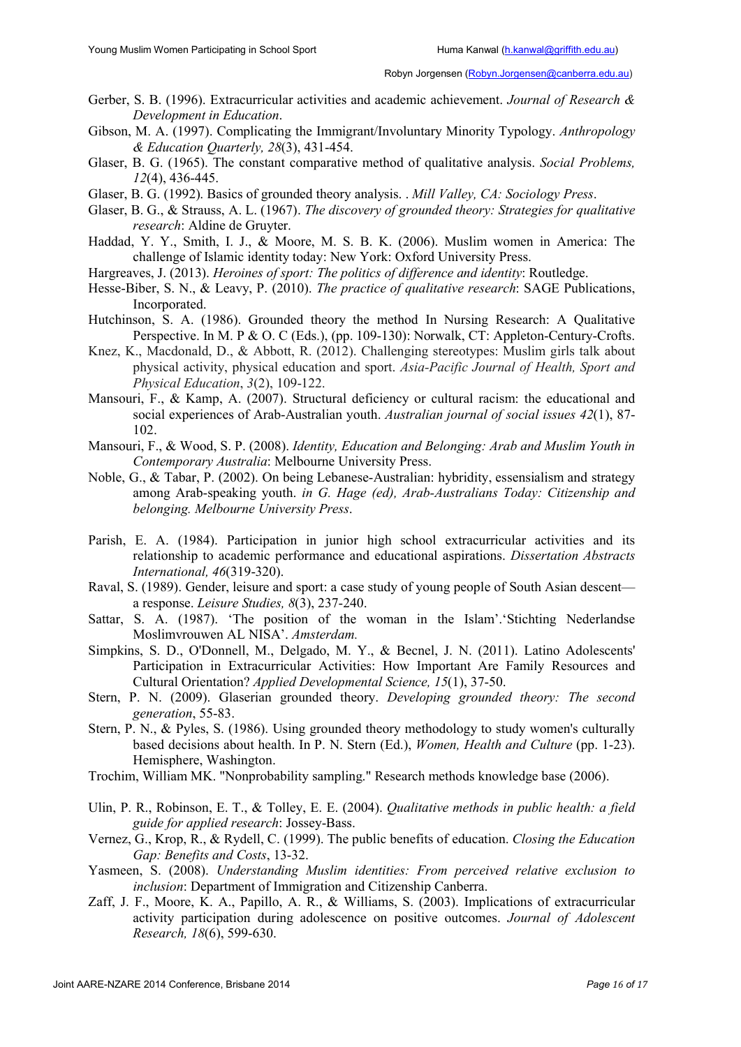- Gerber, S. B. (1996). Extracurricular activities and academic achievement. *Journal of Research & Development in Education*.
- Gibson, M. A. (1997). Complicating the Immigrant/Involuntary Minority Typology. *Anthropology & Education Quarterly, 28*(3), 431-454.
- Glaser, B. G. (1965). The constant comparative method of qualitative analysis. *Social Problems, 12*(4), 436-445.
- Glaser, B. G. (1992). Basics of grounded theory analysis. . *Mill Valley, CA: Sociology Press*.
- Glaser, B. G., & Strauss, A. L. (1967). *The discovery of grounded theory: Strategies for qualitative research*: Aldine de Gruyter.
- Haddad, Y. Y., Smith, I. J., & Moore, M. S. B. K. (2006). Muslim women in America: The challenge of Islamic identity today: New York: Oxford University Press.
- Hargreaves, J. (2013). *Heroines of sport: The politics of difference and identity*: Routledge.
- Hesse-Biber, S. N., & Leavy, P. (2010). *The practice of qualitative research*: SAGE Publications, Incorporated.
- Hutchinson, S. A. (1986). Grounded theory the method In Nursing Research: A Qualitative Perspective. In M. P & O. C (Eds.), (pp. 109-130): Norwalk, CT: Appleton-Century-Crofts.
- Knez, K., Macdonald, D., & Abbott, R. (2012). Challenging stereotypes: Muslim girls talk about physical activity, physical education and sport. *Asia-Pacific Journal of Health, Sport and Physical Education*, *3*(2), 109-122.
- Mansouri, F., & Kamp, A. (2007). Structural deficiency or cultural racism: the educational and social experiences of Arab-Australian youth. *Australian journal of social issues 42*(1), 87- 102.
- Mansouri, F., & Wood, S. P. (2008). *Identity, Education and Belonging: Arab and Muslim Youth in Contemporary Australia*: Melbourne University Press.
- Noble, G., & Tabar, P. (2002). On being Lebanese-Australian: hybridity, essensialism and strategy among Arab-speaking youth. *in G. Hage (ed), Arab-Australians Today: Citizenship and belonging. Melbourne University Press*.
- Parish, E. A. (1984). Participation in junior high school extracurricular activities and its relationship to academic performance and educational aspirations. *Dissertation Abstracts International, 46*(319-320).
- Raval, S. (1989). Gender, leisure and sport: a case study of young people of South Asian descent a response. *Leisure Studies, 8*(3), 237-240.
- Sattar, S. A. (1987). 'The position of the woman in the Islam'.'Stichting Nederlandse Moslimvrouwen AL NISA'. *Amsterdam.*
- Simpkins, S. D., O'Donnell, M., Delgado, M. Y., & Becnel, J. N. (2011). Latino Adolescents' Participation in Extracurricular Activities: How Important Are Family Resources and Cultural Orientation? *Applied Developmental Science, 15*(1), 37-50.
- Stern, P. N. (2009). Glaserian grounded theory. *Developing grounded theory: The second generation*, 55-83.
- Stern, P. N., & Pyles, S. (1986). Using grounded theory methodology to study women's culturally based decisions about health. In P. N. Stern (Ed.), *Women, Health and Culture* (pp. 1-23). Hemisphere, Washington.
- Trochim, William MK. "Nonprobability sampling." Research methods knowledge base (2006).
- Ulin, P. R., Robinson, E. T., & Tolley, E. E. (2004). *Qualitative methods in public health: a field guide for applied research*: Jossey-Bass.
- Vernez, G., Krop, R., & Rydell, C. (1999). The public benefits of education. *Closing the Education Gap: Benefits and Costs*, 13-32.
- Yasmeen, S. (2008). *Understanding Muslim identities: From perceived relative exclusion to inclusion*: Department of Immigration and Citizenship Canberra.
- Zaff, J. F., Moore, K. A., Papillo, A. R., & Williams, S. (2003). Implications of extracurricular activity participation during adolescence on positive outcomes. *Journal of Adolescent Research, 18*(6), 599-630.